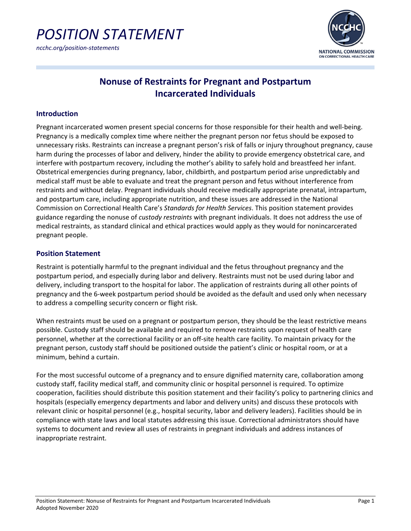

*ncchc.org/position-statements*



# **Nonuse of Restraints for Pregnant and Postpartum Incarcerated Individuals**

# **Introduction**

Pregnant incarcerated women present special concerns for those responsible for their health and well-being. Pregnancy is a medically complex time where neither the pregnant person nor fetus should be exposed to unnecessary risks. Restraints can increase a pregnant person's risk of falls or injury throughout pregnancy, cause harm during the processes of labor and delivery, hinder the ability to provide emergency obstetrical care, and interfere with postpartum recovery, including the mother's ability to safely hold and breastfeed her infant. Obstetrical emergencies during pregnancy, labor, childbirth, and postpartum period arise unpredictably and medical staff must be able to evaluate and treat the pregnant person and fetus without interference from restraints and without delay. Pregnant individuals should receive medically appropriate prenatal, intrapartum, and postpartum care, including appropriate nutrition, and these issues are addressed in the National Commission on Correctional Health Care's *Standards for Health Services*. This position statement provides guidance regarding the nonuse of *custody restraints* with pregnant individuals. It does not address the use of medical restraints, as standard clinical and ethical practices would apply as they would for nonincarcerated pregnant people.

## **Position Statement**

Restraint is potentially harmful to the pregnant individual and the fetus throughout pregnancy and the postpartum period, and especially during labor and delivery. Restraints must not be used during labor and delivery, including transport to the hospital for labor. The application of restraints during all other points of pregnancy and the 6-week postpartum period should be avoided as the default and used only when necessary to address a compelling security concern or flight risk.

When restraints must be used on a pregnant or postpartum person, they should be the least restrictive means possible. Custody staff should be available and required to remove restraints upon request of health care personnel, whether at the correctional facility or an off-site health care facility. To maintain privacy for the pregnant person, custody staff should be positioned outside the patient's clinic or hospital room, or at a minimum, behind a curtain.

For the most successful outcome of a pregnancy and to ensure dignified maternity care, collaboration among custody staff, facility medical staff, and community clinic or hospital personnel is required. To optimize cooperation, facilities should distribute this position statement and their facility's policy to partnering clinics and hospitals (especially emergency departments and labor and delivery units) and discuss these protocols with relevant clinic or hospital personnel (e.g., hospital security, labor and delivery leaders). Facilities should be in compliance with state laws and local statutes addressing this issue. Correctional administrators should have systems to document and review all uses of restraints in pregnant individuals and address instances of inappropriate restraint.